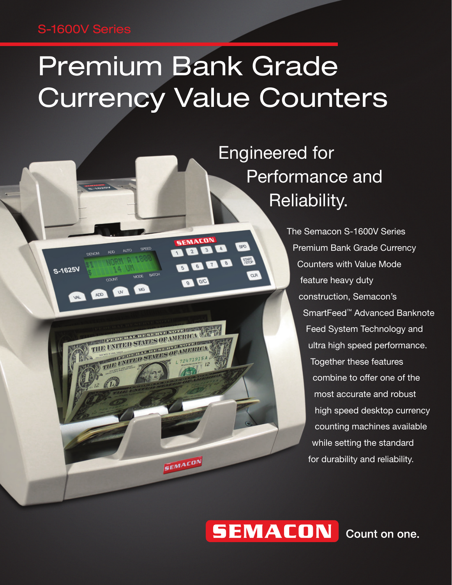### S-1600V Series

 $OCA$ 

W

MODE BATCH

THE PLAN STATE OF THE RESIDENCE OF THE UNITED STATES OF MERICA

VITED

ED STATES OF AMERI

SEMACON

 $MG$ 

**DENOM** 

**ADD** 

S-1625V

VAL

# Premium Bank Grade Currency Value Counters

**SEMACON** 200

0 0 0

BOOD

 $SPO$ 

**START** 

**CLR** 

 Engineered for Performance and Reliability.

> The Semacon S-1600V Series Premium Bank Grade Currency Counters with Value Mode feature heavy duty construction, Semacon's SmartFeed™ Advanced Banknote Feed System Technology and ultra high speed performance. Together these features combine to offer one of the most accurate and robust high speed desktop currency counting machines available while setting the standard for durability and reliability.

## **SEMACON**

Count on one.